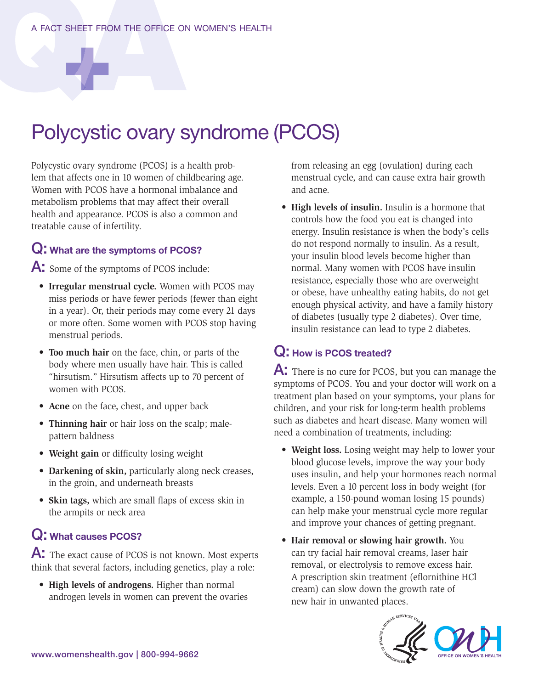# Polycystic ovary syndrome (PCOS)

Polycystic ovary syndrome (PCOS) is a health problem that affects one in 10 women of childbearing age. Women with PCOS have a hormonal imbalance and metabolism problems that may affect their overall health and appearance. PCOS is also a common and treatable cause of infertility.

#### Q: What are the symptoms of PCOS?

A: Some of the symptoms of PCOS include:

- **Irregular menstrual cycle.** Women with PCOS may miss periods or have fewer periods (fewer than eight in a year). Or, their periods may come every 21 days or more often. Some women with PCOS stop having menstrual periods.
- **Too much hair** on the face, chin, or parts of the body where men usually have hair. This is called "hirsutism." Hirsutism affects up to 70 percent of women with PCOS.
- **Acne** on the face, chest, and upper back
- **Thinning hair** or hair loss on the scalp; malepattern baldness
- **Weight gain** or difficulty losing weight
- **Darkening of skin,** particularly along neck creases, in the groin, and underneath breasts
- **Skin tags,** which are small flaps of excess skin in the armpits or neck area

#### Q: What causes PCOS?

A: The exact cause of PCOS is not known. Most experts think that several factors, including genetics, play a role:

• **High levels of androgens.** Higher than normal androgen levels in women can prevent the ovaries from releasing an egg (ovulation) during each menstrual cycle, and can cause extra hair growth and acne.

• **High levels of insulin.** Insulin is a hormone that controls how the food you eat is changed into energy. Insulin resistance is when the body's cells do not respond normally to insulin. As a result, your insulin blood levels become higher than normal. Many women with PCOS have insulin resistance, especially those who are overweight or obese, have unhealthy eating habits, do not get enough physical activity, and have a family history of diabetes (usually type 2 diabetes). Over time, insulin resistance can lead to type 2 diabetes.

### Q: How is PCOS treated?

A: There is no cure for PCOS, but you can manage the symptoms of PCOS. You and your doctor will work on a treatment plan based on your symptoms, your plans for children, and your risk for long-term health problems such as diabetes and heart disease. Many women will need a combination of treatments, including:

- **Weight loss.** Losing weight may help to lower your blood glucose levels, improve the way your body uses insulin, and help your hormones reach normal levels. Even a 10 percent loss in body weight (for example, a 150-pound woman losing 15 pounds) can help make your menstrual cycle more regular and improve your chances of getting pregnant.
- **Hair removal or slowing hair growth.** You can try facial hair removal creams, laser hair removal, or electrolysis to remove excess hair. A prescription skin treatment (eflornithine HCl cream) can slow down the growth rate of new hair in unwanted places.